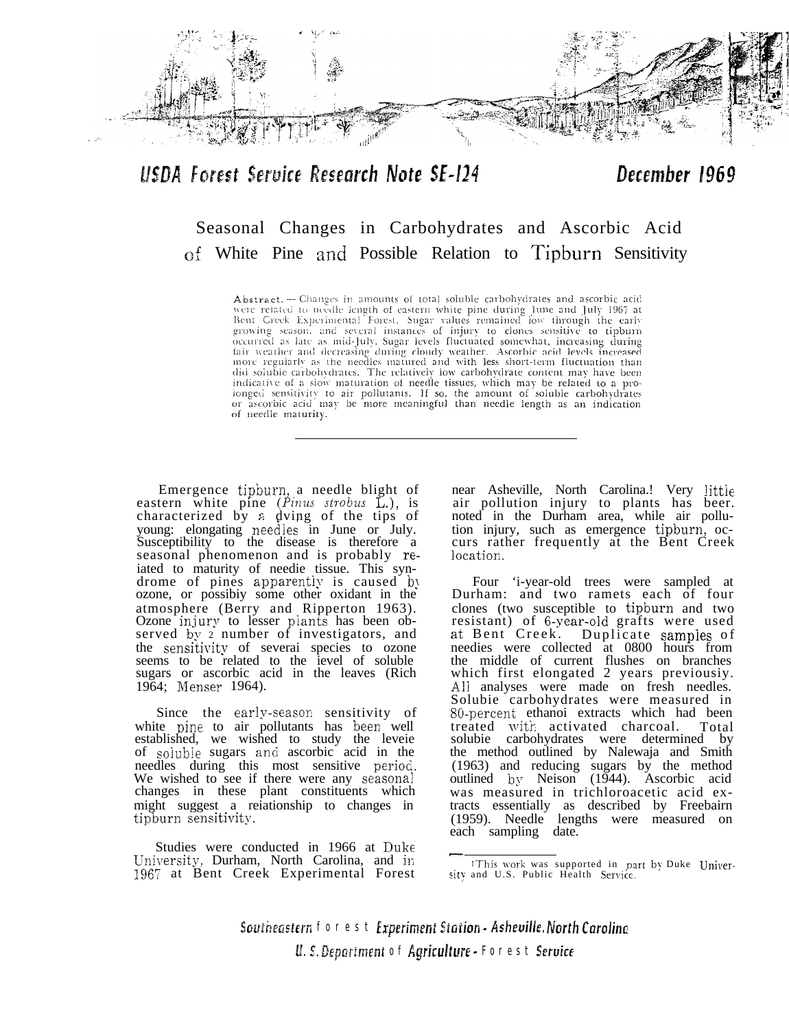

## USDA Forest Service Research Note SE-124

### December 1969

# Seasonal Changes in Carbohydrates and Ascorbic Acid af White Pine and Possible Relation to Tipburn Sensitivity

Abstract. - Changes in amounts of total soluble carbohydrates and ascorbic acid Figure related to needle length of eastern white pine during June and July 1967 at Bent Creek Experimental Forest. Sugar values remained low through the early proving season, and several instances of injury to clones sensitive to tipouring season, and several instances of injury to clones sensitive to tipouring occurred as late as mid-July. Sugar levels fluctuated somewhat, incr did soluble carbohydrates. The relatively low carbohydrate content may have been indicative of a slow maturation of needle tissues, which may be related to a prolonged sensitivity to air pollutants. If so, the amount of soluble carbohydrates or ascorbic acid may be more meaningful than needle length as an indication of needle maturity.

Emergence tipburn, a needle blight of eastern white pine (Pinus strobus L.), is characterized by a dving of the tips of young: elongating needles in June or July. Susceptibility to the disease is therefore a seasonal phenomenon and is probably reiated to maturity of needie tissue. This syn-<br>drome of pines apparently is caused by ozone, or possibiy some other oxidant in the atmosphere (Berry and Ripperton 1963). Ozone injury to lesser plants has been observed by 2 number of investigators, and the sensitivity of severai species to ozone seems to be related to the ievel of soluble sugars or ascorbic acid in the leaves (Rich 1964; Menser 1964).

Since the early-season sensitivity of white pine to air pollutants has been well established, we wished to study the leveie of soiuble sugars an6 ascorbic acid in the needles during this most sensitive period. We wished to see if there were any seasonal changes in these plant constituents which might suggest a reiationship to changes in tipburn sensitivity.

Studies were conducted in 1966 at **Duke-**University, Durham, North Carolina, and in 1967 at Bent Creek Experimental Forest

near Asheville, North Carolina.! Very littie air pollution injury to plants has beer. noted in the Durham area, while air pollution injury, such as emergence tipburn, occurs rather frequently at the Bent Creek location.

Four 'i-year-old trees were sampled at Durham: and two ramets each of four clones (two susceptible to tipburn and two resistant) of 6-year-old grafts were used<br>at Bent Creek. Duplicate samples of Duplicate samples of needies were collected at 0800 hours from the middle of current flushes on branches which first elongated 2 years previousiy. A!i analyses were made on fresh needles. Solubie carbohydrates were measured in 80-percent ethanoi extracts which had been treated with activated charcoal. Total solubie carbohydrates were determined by the method outlined by Nalewaja and Smith (1963) and reducing sugars by the method outlined by Neison (1944). Ascorbic acid was measured in trichloroacetic acid extracts essentially as described by Freebairn (1959). Needle lengths were measured on each sampling date.

Southeastern forest Experiment Station - Asheville, North Carolina U. S. Department of Agriculture - Forest Service

<sup>!</sup>This xvork was supported in part by Duke University and U.S. Public Health Service.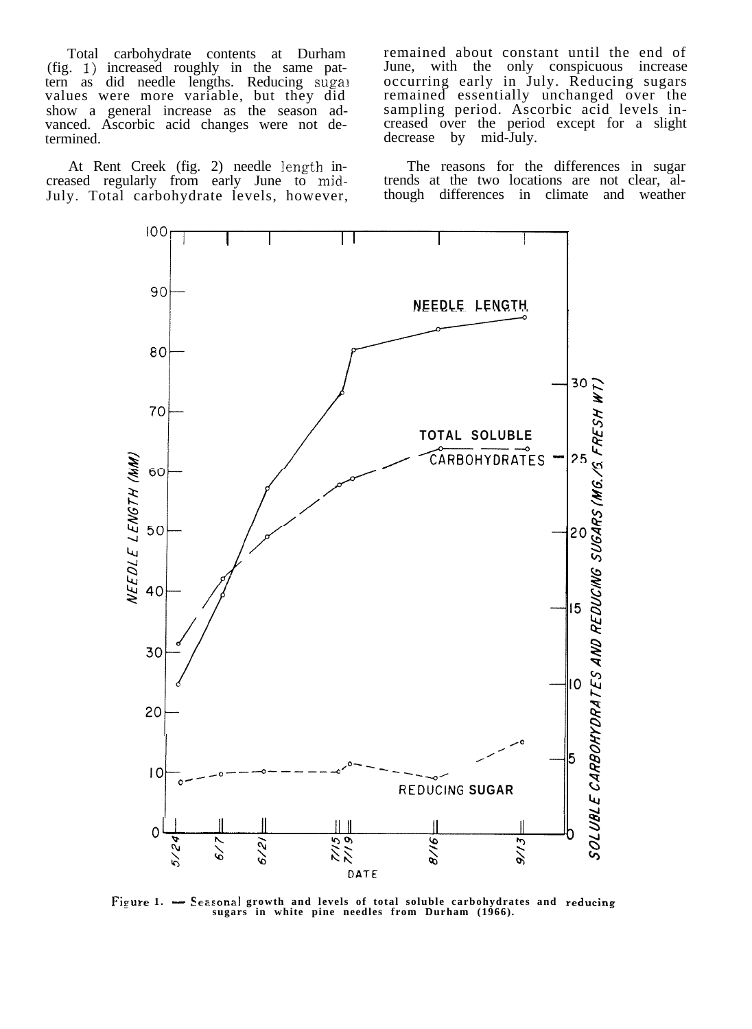Total carbohydrate contents at Durham (fig. 1) increased roughly in the same pattern as did needle lengths. Reducing sugar values were more variable, but they did show a general increase as the season advanced. Ascorbic acid changes were not determined.

At Rent Creek (fig. 2) needle length increased regularly from early June to mid-July. Total carbohydrate levels, however, remained about constant until the end of June, with the only conspicuous increase occurring early in July. Reducing sugars remained essentially unchanged over the sampling period. Ascorbic acid levels increased over the period except for a slight decrease by mid-July.

The reasons for the differences in sugar trends at the two locations are not clear, although differences in climate and weather



**sugars in white pine needles from Durham (1966).**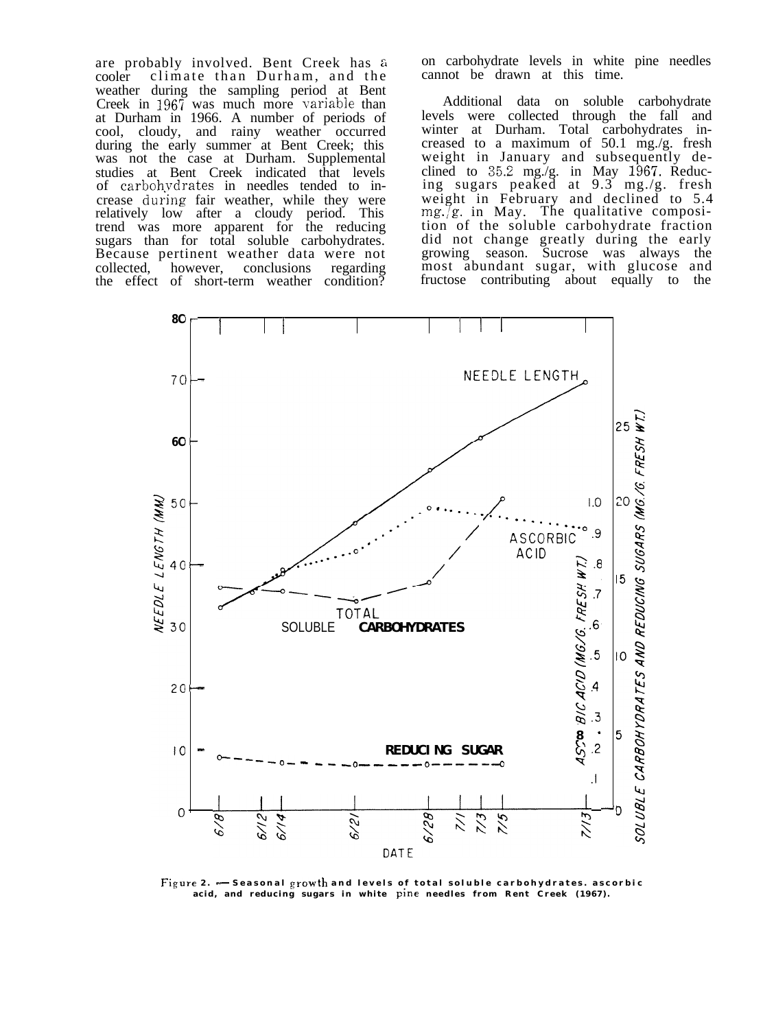are probably involved. Bent Creek has a cooler climate than Durham, and the weather during the sampling period at Bent Creek in  $1967$  was much more variable than at Durham in 1966. A number of periods of cool, cloudy, and rainy weather occurred during the early summer at Bent Creek; this was not the case at Durham. Supplemental studies at Bent Creek indicated that levels of carbohvdrates in needles tended to increase during fair weather, while they were relatively low after a cloudy period. This trend was more apparent for the reducing sugars than for total soluble carbohydrates. Because pertinent weather data were not collected, however, conclusions regarding the effect of short-term weather condition?

on carbohydrate levels in white pine needles cannot be drawn at this time.

Additional data on soluble carbohydrate levels were collected through the fall and winter at Durham. Total carbohydrates increased to a maximum of 50.1 mg./g. fresh weight in January and subsequently declined to  $35.2 \text{ mg/g}$ . in May 1967. Reducing sugars peaked at 9.3 mg./g. fresh weight in February and declined to 5.4 mg./g. in May. The qualitative composition of the soluble carbohydrate fraction did not change greatly during the early growing season. Sucrose was always the most abundant sugar, with glucose and fructose contributing about equally to the



Figure 2.  $\frac{1}{2}$  Seasonal growth and levels of total soluble carbohydrates. ascorbic acid, and reducing sugars in white **Pine needles from Rent Creek** (1967).